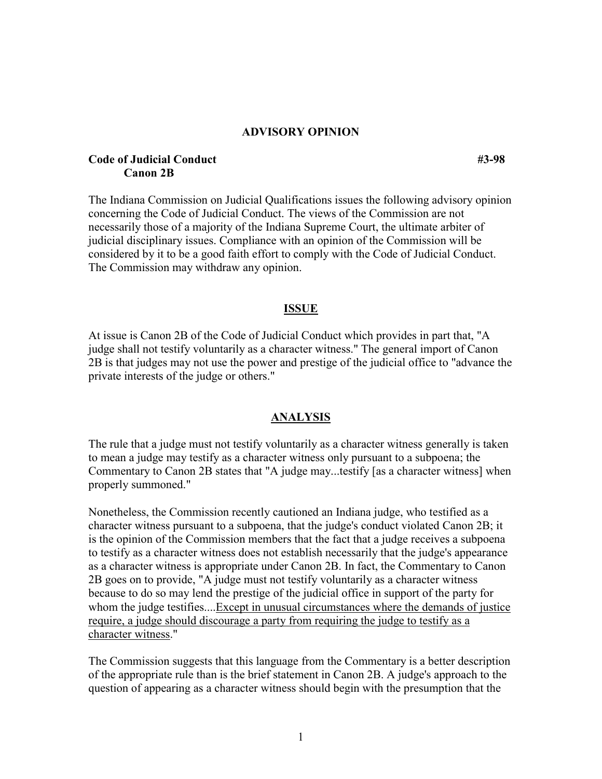### **ADVISORY OPINION**

## **Code of Judicial Conduct #3-98 Canon 2B**

The Indiana Commission on Judicial Qualifications issues the following advisory opinion concerning the Code of Judicial Conduct. The views of the Commission are not necessarily those of a majority of the Indiana Supreme Court, the ultimate arbiter of judicial disciplinary issues. Compliance with an opinion of the Commission will be considered by it to be a good faith effort to comply with the Code of Judicial Conduct. The Commission may withdraw any opinion.

#### **ISSUE**

At issue is Canon 2B of the Code of Judicial Conduct which provides in part that, "A judge shall not testify voluntarily as a character witness." The general import of Canon 2B is that judges may not use the power and prestige of the judicial office to "advance the private interests of the judge or others."

#### **ANALYSIS**

The rule that a judge must not testify voluntarily as a character witness generally is taken to mean a judge may testify as a character witness only pursuant to a subpoena; the Commentary to Canon 2B states that "A judge may...testify [as a character witness] when properly summoned."

Nonetheless, the Commission recently cautioned an Indiana judge, who testified as a character witness pursuant to a subpoena, that the judge's conduct violated Canon 2B; it is the opinion of the Commission members that the fact that a judge receives a subpoena to testify as a character witness does not establish necessarily that the judge's appearance as a character witness is appropriate under Canon 2B. In fact, the Commentary to Canon 2B goes on to provide, "A judge must not testify voluntarily as a character witness because to do so may lend the prestige of the judicial office in support of the party for whom the judge testifies....Except in unusual circumstances where the demands of justice require, a judge should discourage a party from requiring the judge to testify as a character witness."

The Commission suggests that this language from the Commentary is a better description of the appropriate rule than is the brief statement in Canon 2B. A judge's approach to the question of appearing as a character witness should begin with the presumption that the